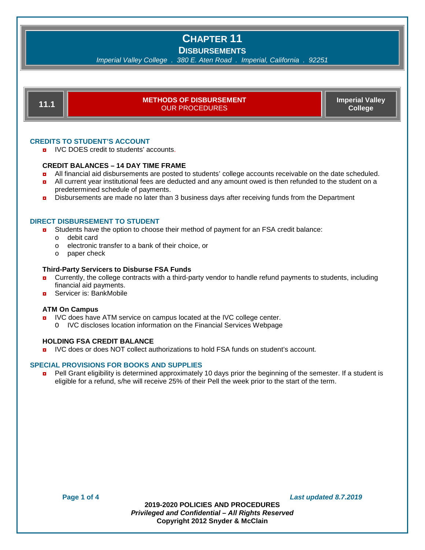## **DISBURSEMENTS**

*Imperial Valley College . 380 E. Aten Road . Imperial, California . 92251*



## **CREDITS TO STUDENT'S ACCOUNT**

**D** IVC DOES credit to students' accounts.

#### **CREDIT BALANCES – 14 DAY TIME FRAME**

- **a** All financial aid disbursements are posted to students' college accounts receivable on the date scheduled.
- **a** All current year institutional fees are deducted and any amount owed is then refunded to the student on a predetermined schedule of payments.
- **Dispursements are made no later than 3 business days after receiving funds from the Department**

## **DIRECT DISBURSEMENT TO STUDENT**

- **D** Students have the option to choose their method of payment for an FSA credit balance:
	- o debit card
	- o electronic transfer to a bank of their choice, or
	- o paper check

#### **Third-Party Servicers to Disburse FSA Funds**

- **D** Currently, the college contracts with a third-party vendor to handle refund payments to students, including financial aid payments.
- **<u>n</u>** Servicer is: BankMobile

#### **ATM On Campus**

- **D** IVC does have ATM service on campus located at the IVC college center.
	- O IVC discloses location information on the Financial Services Webpage

#### **HOLDING FSA CREDIT BALANCE**

**D** IVC does or does NOT collect authorizations to hold FSA funds on student's account.

#### **SPECIAL PROVISIONS FOR BOOKS AND SUPPLIES**

**Pell Grant eligibility is determined approximately 10 days prior the beginning of the semester. If a student is** eligible for a refund, s/he will receive 25% of their Pell the week prior to the start of the term.

**Page 1 of 4** *Last updated 8.7.2019*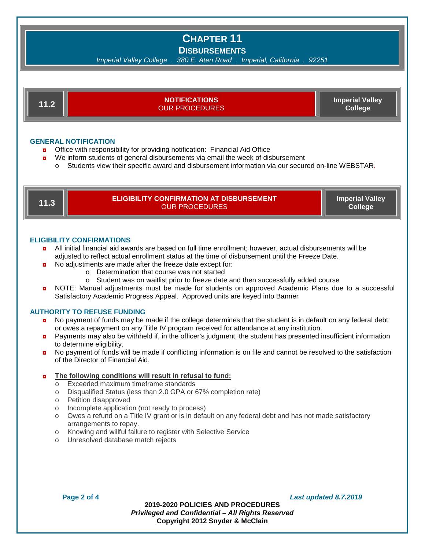**DISBURSEMENTS**

*Imperial Valley College . 380 E. Aten Road . Imperial, California . 92251*

**GENERAL NOTIFICATION** ◘ Office with responsibility for providing notification: Financial Aid Office **11.2 NOTIFICATIONS** OUR PROCEDURES **Imperial Valley College**

- ◘ We inform students of general disbursements via email the week of disbursement
	- o Students view their specific award and disbursement information via our secured on-line WEBSTAR.

| IR. | ELIGIBILITY CONFIRMATION AT DISBURSEMENT'<br>OUR PROCEDURES ' | <b>Imperial Valley</b><br><b>College</b> |
|-----|---------------------------------------------------------------|------------------------------------------|
|     |                                                               |                                          |

### **ELIGIBILITY CONFIRMATIONS**

- ◘ All initial financial aid awards are based on full time enrollment; however, actual disbursements will be adjusted to reflect actual enrollment status at the time of disbursement until the Freeze Date.
- **D** No adjustments are made after the freeze date except for:
	- o Determination that course was not started
	- o Student was on waitlist prior to freeze date and then successfully added course
- **D** NOTE: Manual adjustments must be made for students on approved Academic Plans due to a successful Satisfactory Academic Progress Appeal. Approved units are keyed into Banner

#### **AUTHORITY TO REFUSE FUNDING**

- **n** No payment of funds may be made if the college determines that the student is in default on any federal debt or owes a repayment on any Title IV program received for attendance at any institution.
- **D** Payments may also be withheld if, in the officer's judgment, the student has presented insufficient information to determine eligibility.
- **D** No payment of funds will be made if conflicting information is on file and cannot be resolved to the satisfaction of the Director of Financial Aid.

## ◘ **The following conditions will result in refusal to fund:**

- o Exceeded maximum timeframe standards<br>
o Disqualified Status (less than 2.0 GPA or 6
- o Disqualified Status (less than 2.0 GPA or 67% completion rate)
- Petition disapproved
- o Incomplete application (not ready to process)
- $\circ$  Owes a refund on a Title IV grant or is in default on any federal debt and has not made satisfactory arrangements to repay.
- o Knowing and willful failure to register with Selective Service
- o Unresolved database match rejects

**Page 2 of 4** *Last updated 8.7.2019*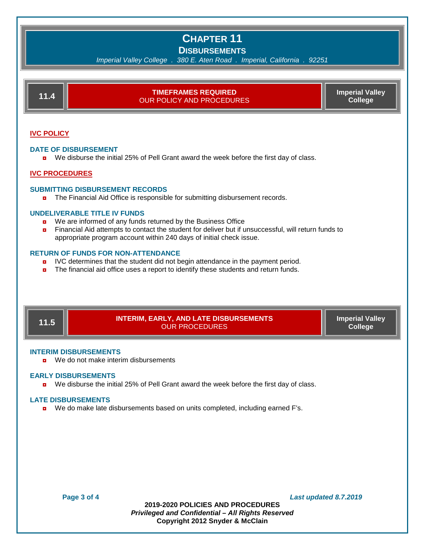## **DISBURSEMENTS**

*Imperial Valley College . 380 E. Aten Road . Imperial, California . 92251*

| 11.4 | <b>TIMEFRAMES REQUIRED</b><br><b>OUR POLICY AND PROCEDURES</b> | <b>Imperial Valley</b><br>College |
|------|----------------------------------------------------------------|-----------------------------------|
|      |                                                                |                                   |

## **IVC POLICY**

#### **DATE OF DISBURSEMENT**

**D** We disburse the initial 25% of Pell Grant award the week before the first day of class.

## **IVC PROCEDURES**

#### **SUBMITTING DISBURSEMENT RECORDS**

◘ The Financial Aid Office is responsible for submitting disbursement records.

#### **UNDELIVERABLE TITLE IV FUNDS**

- **D** We are informed of any funds returned by the Business Office
- **n** Financial Aid attempts to contact the student for deliver but if unsuccessful, will return funds to appropriate program account within 240 days of initial check issue.

#### **RETURN OF FUNDS FOR NON-ATTENDANCE**

- **D** IVC determines that the student did not begin attendance in the payment period.
- **n** The financial aid office uses a report to identify these students and return funds.



#### **INTERIM DISBURSEMENTS**

**p** We do not make interim disbursements

#### **EARLY DISBURSEMENTS**

◘ We disburse the initial 25% of Pell Grant award the week before the first day of class.

#### **LATE DISBURSEMENTS**

◘ We do make late disbursements based on units completed, including earned F's.

**Page 3 of 4** *Last updated 8.7.2019*